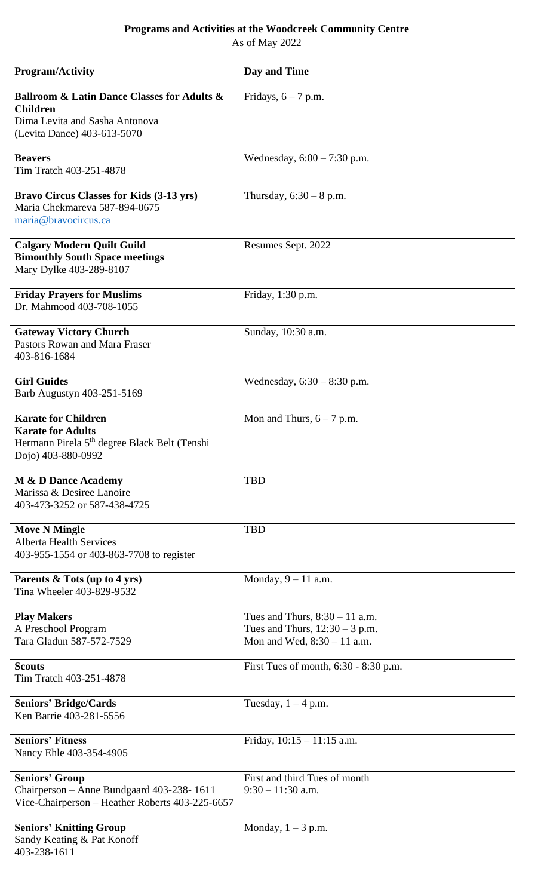## **Programs and Activities at the Woodcreek Community Centre**

As of May 2022

| <b>Program/Activity</b>                                                                                                                        | Day and Time                                                                                          |
|------------------------------------------------------------------------------------------------------------------------------------------------|-------------------------------------------------------------------------------------------------------|
| <b>Ballroom &amp; Latin Dance Classes for Adults &amp;</b><br><b>Children</b><br>Dima Levita and Sasha Antonova<br>(Levita Dance) 403-613-5070 | Fridays, $6 - 7$ p.m.                                                                                 |
| <b>Beavers</b><br>Tim Tratch 403-251-4878                                                                                                      | Wednesday, $6:00 - 7:30$ p.m.                                                                         |
| <b>Bravo Circus Classes for Kids (3-13 yrs)</b><br>Maria Chekmareva 587-894-0675<br>maria@bravocircus.ca                                       | Thursday, $6:30 - 8$ p.m.                                                                             |
| <b>Calgary Modern Quilt Guild</b><br><b>Bimonthly South Space meetings</b><br>Mary Dylke 403-289-8107                                          | Resumes Sept. 2022                                                                                    |
| <b>Friday Prayers for Muslims</b><br>Dr. Mahmood 403-708-1055                                                                                  | Friday, 1:30 p.m.                                                                                     |
| <b>Gateway Victory Church</b><br>Pastors Rowan and Mara Fraser<br>403-816-1684                                                                 | Sunday, 10:30 a.m.                                                                                    |
| <b>Girl Guides</b><br>Barb Augustyn 403-251-5169                                                                                               | Wednesday, $6:30 - 8:30$ p.m.                                                                         |
| <b>Karate for Children</b><br><b>Karate for Adults</b><br>Hermann Pirela 5 <sup>th</sup> degree Black Belt (Tenshi<br>Dojo) 403-880-0992       | Mon and Thurs, $6 - 7$ p.m.                                                                           |
| M & D Dance Academy<br>Marissa & Desiree Lanoire<br>403-473-3252 or 587-438-4725                                                               | <b>TBD</b>                                                                                            |
| <b>Move N Mingle</b><br><b>Alberta Health Services</b><br>403-955-1554 or 403-863-7708 to register                                             | <b>TBD</b>                                                                                            |
| Parents & Tots (up to 4 yrs)<br>Tina Wheeler 403-829-9532                                                                                      | Monday, $9 - 11$ a.m.                                                                                 |
| <b>Play Makers</b><br>A Preschool Program<br>Tara Gladun 587-572-7529                                                                          | Tues and Thurs, $8:30 - 11$ a.m.<br>Tues and Thurs, $12:30 - 3$ p.m.<br>Mon and Wed, $8:30 - 11$ a.m. |
| <b>Scouts</b><br>Tim Tratch 403-251-4878                                                                                                       | First Tues of month, 6:30 - 8:30 p.m.                                                                 |
| <b>Seniors' Bridge/Cards</b><br>Ken Barrie 403-281-5556                                                                                        | Tuesday, $1 - 4$ p.m.                                                                                 |
| <b>Seniors' Fitness</b><br>Nancy Ehle 403-354-4905                                                                                             | Friday, $10:15 - 11:15$ a.m.                                                                          |
| <b>Seniors' Group</b><br>Chairperson - Anne Bundgaard 403-238-1611<br>Vice-Chairperson - Heather Roberts 403-225-6657                          | First and third Tues of month<br>$9:30 - 11:30$ a.m.                                                  |
| <b>Seniors' Knitting Group</b><br>Sandy Keating & Pat Konoff<br>403-238-1611                                                                   | Monday, $1 - 3$ p.m.                                                                                  |